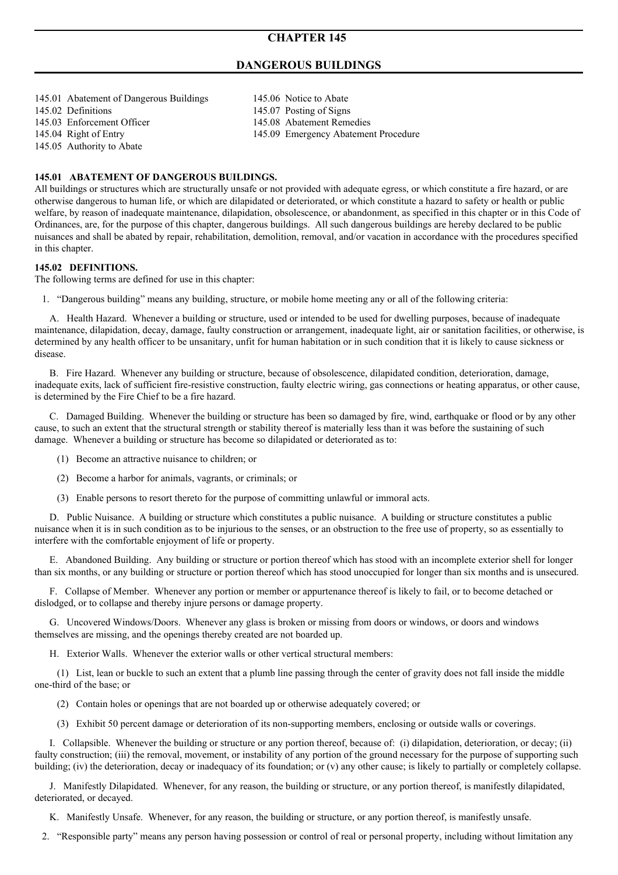# **CHAPTER 145**

# **DANGEROUS BUILDINGS**

145.01 Abatement of Dangerous Buildings 145.06 Notice to Abate 145.02 Definitions 145.07 Posting of Signs 145.03 Enforcement Officer 145.08 Abatement Remedies 145.05 Authority to Abate

145.04 Right of Entry 145.09 Emergency Abatement Procedure

# **145.01 ABATEMENT OF DANGEROUS BUILDINGS.**

All buildings or structures which are structurally unsafe or not provided with adequate egress, or which constitute a fire hazard, or are otherwise dangerous to human life, or which are dilapidated or deteriorated, or which constitute a hazard to safety or health or public welfare, by reason of inadequate maintenance, dilapidation, obsolescence, or abandonment, as specified in this chapter or in this Code of Ordinances, are, for the purpose of this chapter, dangerous buildings. All such dangerous buildings are hereby declared to be public nuisances and shall be abated by repair, rehabilitation, demolition, removal, and/or vacation in accordance with the procedures specified in this chapter.

#### **145.02 DEFINITIONS.**

The following terms are defined for use in this chapter:

1. "Dangerous building" means any building, structure, or mobile home meeting any or all of the following criteria:

A. Health Hazard. Whenever a building or structure, used or intended to be used for dwelling purposes, because of inadequate maintenance, dilapidation, decay, damage, faulty construction or arrangement, inadequate light, air or sanitation facilities, or otherwise, is determined by any health officer to be unsanitary, unfit for human habitation or in such condition that it is likely to cause sickness or disease.

B. Fire Hazard. Whenever any building or structure, because of obsolescence, dilapidated condition, deterioration, damage, inadequate exits, lack of sufficient fire-resistive construction, faulty electric wiring, gas connections or heating apparatus, or other cause, is determined by the Fire Chief to be a fire hazard.

C. Damaged Building. Whenever the building or structure has been so damaged by fire, wind, earthquake or flood or by any other cause, to such an extent that the structural strength or stability thereof is materially less than it was before the sustaining of such damage. Whenever a building or structure has become so dilapidated or deteriorated as to:

- (1) Become an attractive nuisance to children; or
- (2) Become a harbor for animals, vagrants, or criminals; or
- (3) Enable persons to resort thereto for the purpose of committing unlawful or immoral acts.

D. Public Nuisance. A building or structure which constitutes a public nuisance. A building or structure constitutes a public nuisance when it is in such condition as to be injurious to the senses, or an obstruction to the free use of property, so as essentially to interfere with the comfortable enjoyment of life or property.

E. Abandoned Building. Any building or structure or portion thereof which has stood with an incomplete exterior shell for longer than six months, or any building or structure or portion thereof which has stood unoccupied for longer than six months and is unsecured.

F. Collapse of Member. Whenever any portion or member or appurtenance thereof is likely to fail, or to become detached or dislodged, or to collapse and thereby injure persons or damage property.

G. Uncovered Windows/Doors. Whenever any glass is broken or missing from doors or windows, or doors and windows themselves are missing, and the openings thereby created are not boarded up.

H. Exterior Walls. Whenever the exterior walls or other vertical structural members:

(1) List, lean or buckle to such an extent that a plumb line passing through the center of gravity does not fall inside the middle one-third of the base; or

- (2) Contain holes or openings that are not boarded up or otherwise adequately covered; or
- (3) Exhibit 50 percent damage or deterioration of its non-supporting members, enclosing or outside walls or coverings.

I. Collapsible. Whenever the building or structure or any portion thereof, because of: (i) dilapidation, deterioration, or decay; (ii) faulty construction; (iii) the removal, movement, or instability of any portion of the ground necessary for the purpose of supporting such building; (iv) the deterioration, decay or inadequacy of its foundation; or (v) any other cause; is likely to partially or completely collapse.

J. Manifestly Dilapidated. Whenever, for any reason, the building or structure, or any portion thereof, is manifestly dilapidated, deteriorated, or decayed.

K. Manifestly Unsafe. Whenever, for any reason, the building or structure, or any portion thereof, is manifestly unsafe.

2. "Responsible party" means any person having possession or control of real or personal property, including without limitation any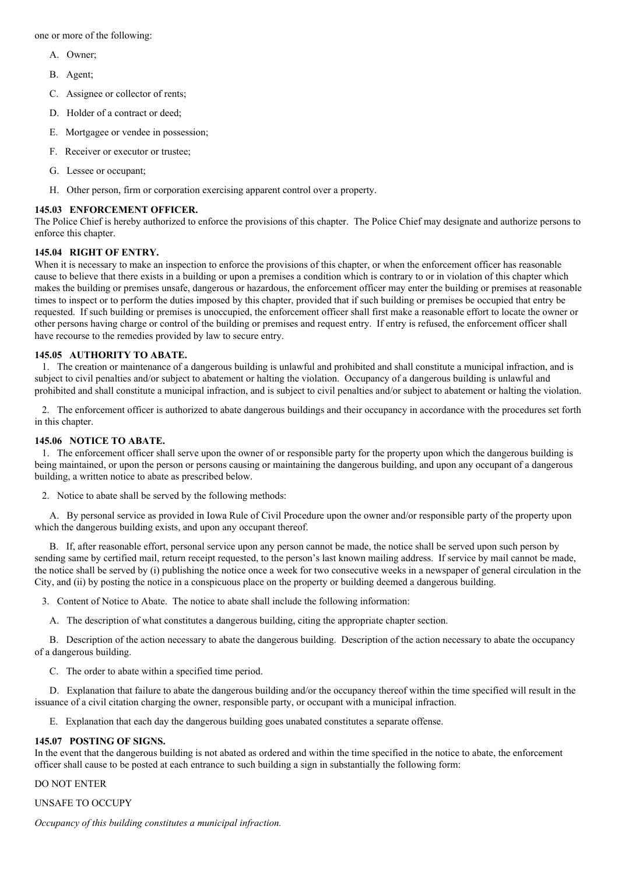one or more of the following:

- A. Owner;
- B. Agent;
- C. Assignee or collector of rents;
- D. Holder of a contract or deed;
- E. Mortgagee or vendee in possession;
- F. Receiver or executor or trustee;
- G. Lessee or occupant;
- H. Other person, firm or corporation exercising apparent control over a property.

## **145.03 ENFORCEMENT OFFICER.**

The Police Chief is hereby authorized to enforce the provisions of this chapter. The Police Chief may designate and authorize persons to enforce this chapter.

### **145.04 RIGHT OF ENTRY.**

When it is necessary to make an inspection to enforce the provisions of this chapter, or when the enforcement officer has reasonable cause to believe that there exists in a building or upon a premises a condition which is contrary to or in violation of this chapter which makes the building or premises unsafe, dangerous or hazardous, the enforcement officer may enter the building or premises at reasonable times to inspect or to perform the duties imposed by this chapter, provided that if such building or premises be occupied that entry be requested. If such building or premises is unoccupied, the enforcement officer shall first make a reasonable effort to locate the owner or other persons having charge or control of the building or premises and request entry. If entry is refused, the enforcement officer shall have recourse to the remedies provided by law to secure entry.

### **145.05 AUTHORITY TO ABATE.**

1. The creation or maintenance of a dangerous building is unlawful and prohibited and shall constitute a municipal infraction, and is subject to civil penalties and/or subject to abatement or halting the violation. Occupancy of a dangerous building is unlawful and prohibited and shall constitute a municipal infraction, and is subject to civil penalties and/or subject to abatement or halting the violation.

2. The enforcement officer is authorized to abate dangerous buildings and their occupancy in accordance with the procedures set forth in this chapter.

## **145.06 NOTICE TO ABATE.**

1. The enforcement officer shall serve upon the owner of or responsible party for the property upon which the dangerous building is being maintained, or upon the person or persons causing or maintaining the dangerous building, and upon any occupant of a dangerous building, a written notice to abate as prescribed below.

2. Notice to abate shall be served by the following methods:

A. By personal service as provided in Iowa Rule of Civil Procedure upon the owner and/or responsible party of the property upon which the dangerous building exists, and upon any occupant thereof.

B. If, after reasonable effort, personal service upon any person cannot be made, the notice shall be served upon such person by sending same by certified mail, return receipt requested, to the person's last known mailing address. If service by mail cannot be made, the notice shall be served by (i) publishing the notice once a week for two consecutive weeks in a newspaper of general circulation in the City, and (ii) by posting the notice in a conspicuous place on the property or building deemed a dangerous building.

3. Content of Notice to Abate. The notice to abate shall include the following information:

A. The description of what constitutes a dangerous building, citing the appropriate chapter section.

B. Description of the action necessary to abate the dangerous building. Description of the action necessary to abate the occupancy of a dangerous building.

C. The order to abate within a specified time period.

D. Explanation that failure to abate the dangerous building and/or the occupancy thereof within the time specified will result in the issuance of a civil citation charging the owner, responsible party, or occupant with a municipal infraction.

E. Explanation that each day the dangerous building goes unabated constitutes a separate offense.

#### **145.07 POSTING OF SIGNS.**

In the event that the dangerous building is not abated as ordered and within the time specified in the notice to abate, the enforcement officer shall cause to be posted at each entrance to such building a sign in substantially the following form:

#### DO NOT ENTER

## UNSAFE TO OCCUPY

*Occupancy of this building constitutes a municipal infraction.*